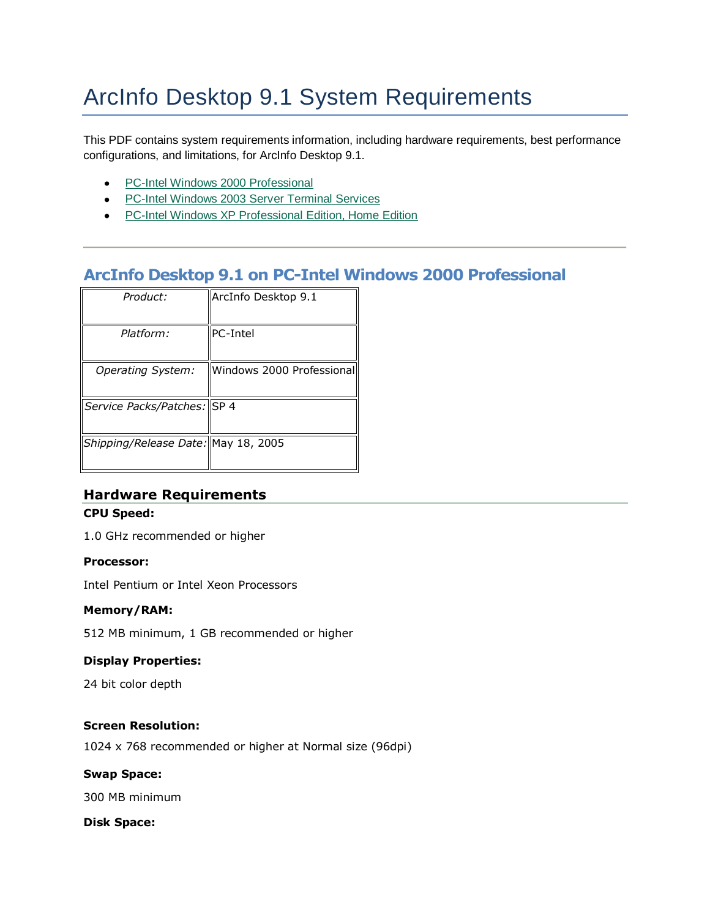# ArcInfo Desktop 9.1 System Requirements

This PDF contains system requirements information, including hardware requirements, best performance configurations, and limitations, for ArcInfo Desktop 9.1.

- PC-Intel Windows 2000 Professional
- PC-Intel Windows 2003 Server Terminal Services
- PC-Intel Windows XP Professional Edition, Home Edition

# **ArcInfo Desktop 9.1 on PC-Intel Windows 2000 Professional**

| Product:                            | ArcInfo Desktop 9.1       |
|-------------------------------------|---------------------------|
| Platform:                           | PC-Intel                  |
| Operating System:                   | Windows 2000 Professional |
| Service Packs/Patches: SP 4         |                           |
| Shipping/Release Date: May 18, 2005 |                           |

# **Hardware Requirements**

#### **CPU Speed:**

1.0 GHz recommended or higher

#### **Processor:**

Intel Pentium or Intel Xeon Processors

#### **Memory/RAM:**

512 MB minimum, 1 GB recommended or higher

#### **Display Properties:**

24 bit color depth

#### **Screen Resolution:**

1024 x 768 recommended or higher at Normal size (96dpi)

#### **Swap Space:**

300 MB minimum

#### **Disk Space:**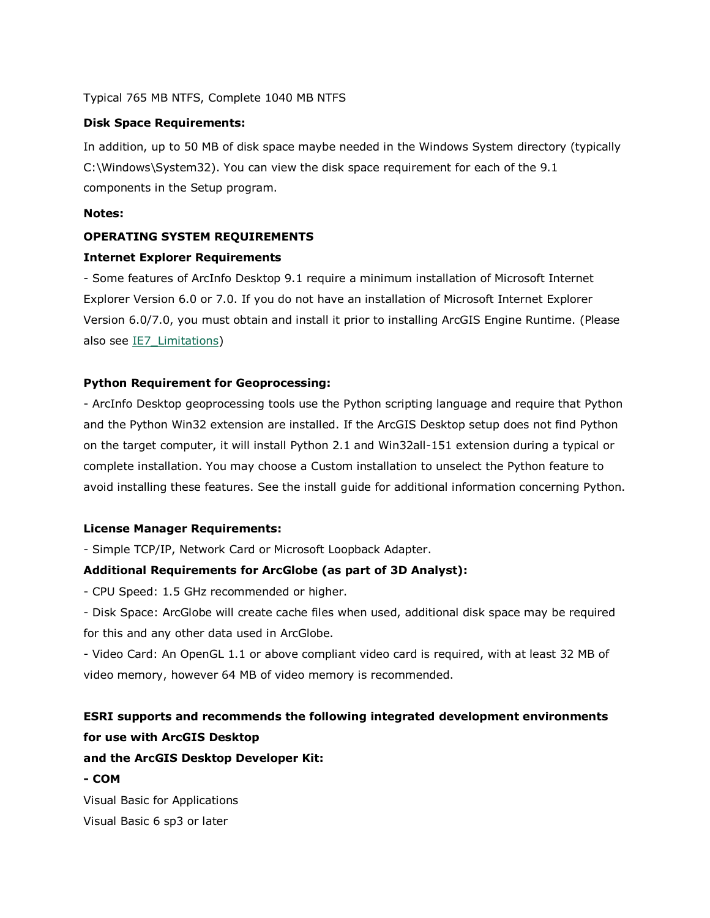#### Typical 765 MB NTFS, Complete 1040 MB NTFS

#### **Disk Space Requirements:**

In addition, up to 50 MB of disk space maybe needed in the Windows System directory (typically C:\Windows\System32). You can view the disk space requirement for each of the 9.1 components in the Setup program.

#### **Notes:**

#### **OPERATING SYSTEM REQUIREMENTS**

#### **Internet Explorer Requirements**

- Some features of ArcInfo Desktop 9.1 require a minimum installation of Microsoft Internet Explorer Version 6.0 or 7.0. If you do not have an installation of Microsoft Internet Explorer Version 6.0/7.0, you must obtain and install it prior to installing ArcGIS Engine Runtime. (Please also see IE7 Limitations)

#### **Python Requirement for Geoprocessing:**

- ArcInfo Desktop geoprocessing tools use the Python scripting language and require that Python and the Python Win32 extension are installed. If the ArcGIS Desktop setup does not find Python on the target computer, it will install Python 2.1 and Win32all-151 extension during a typical or complete installation. You may choose a Custom installation to unselect the Python feature to avoid installing these features. See the install guide for additional information concerning Python.

#### **License Manager Requirements:**

- Simple TCP/IP, Network Card or Microsoft Loopback Adapter.

#### **Additional Requirements for ArcGlobe (as part of 3D Analyst):**

- CPU Speed: 1.5 GHz recommended or higher.

- Disk Space: ArcGlobe will create cache files when used, additional disk space may be required for this and any other data used in ArcGlobe.

- Video Card: An OpenGL 1.1 or above compliant video card is required, with at least 32 MB of video memory, however 64 MB of video memory is recommended.

# **ESRI supports and recommends the following integrated development environments for use with ArcGIS Desktop**

#### **and the ArcGIS Desktop Developer Kit:**

#### **- COM**

Visual Basic for Applications Visual Basic 6 sp3 or later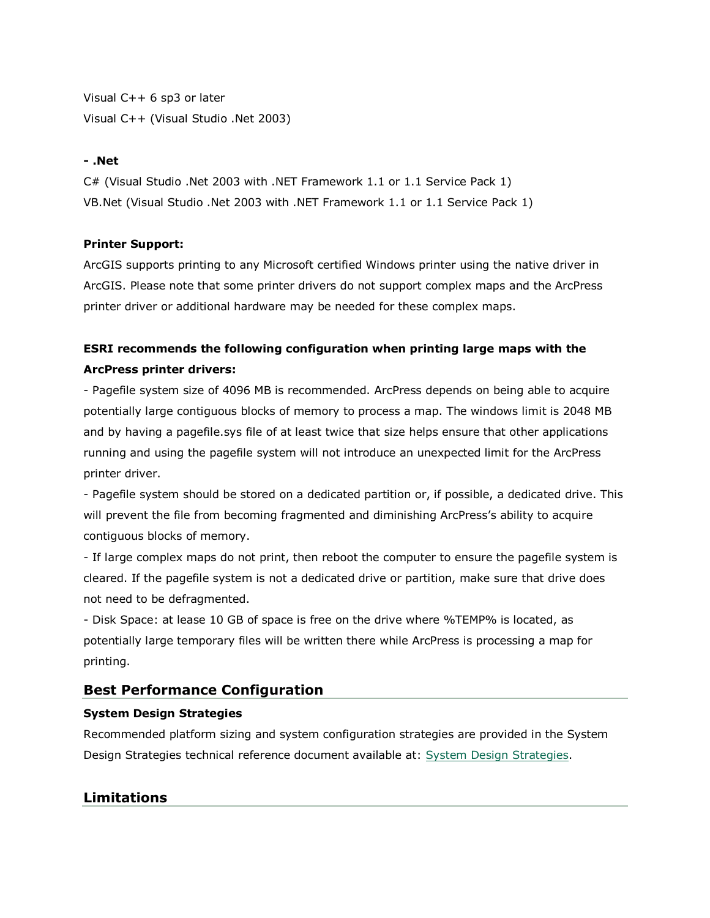Visual C++ 6 sp3 or later Visual C++ (Visual Studio .Net 2003)

#### **- .Net**

C# (Visual Studio .Net 2003 with .NET Framework 1.1 or 1.1 Service Pack 1) VB.Net (Visual Studio .Net 2003 with .NET Framework 1.1 or 1.1 Service Pack 1)

#### **Printer Support:**

ArcGIS supports printing to any Microsoft certified Windows printer using the native driver in ArcGIS. Please note that some printer drivers do not support complex maps and the ArcPress printer driver or additional hardware may be needed for these complex maps.

# **ESRI recommends the following configuration when printing large maps with the ArcPress printer drivers:**

- Pagefile system size of 4096 MB is recommended. ArcPress depends on being able to acquire potentially large contiguous blocks of memory to process a map. The windows limit is 2048 MB and by having a pagefile.sys file of at least twice that size helps ensure that other applications running and using the pagefile system will not introduce an unexpected limit for the ArcPress printer driver.

- Pagefile system should be stored on a dedicated partition or, if possible, a dedicated drive. This will prevent the file from becoming fragmented and diminishing ArcPress's ability to acquire contiguous blocks of memory.

- If large complex maps do not print, then reboot the computer to ensure the pagefile system is cleared. If the pagefile system is not a dedicated drive or partition, make sure that drive does not need to be defragmented.

- Disk Space: at lease 10 GB of space is free on the drive where %TEMP% is located, as potentially large temporary files will be written there while ArcPress is processing a map for printing.

# **Best Performance Configuration**

#### **System Design Strategies**

Recommended platform sizing and system configuration strategies are provided in the System Design Strategies technical reference document available at: [System Design Strategies.](http://www.esri.com/library/whitepapers/pdfs/sysdesig.pdf)

# **Limitations**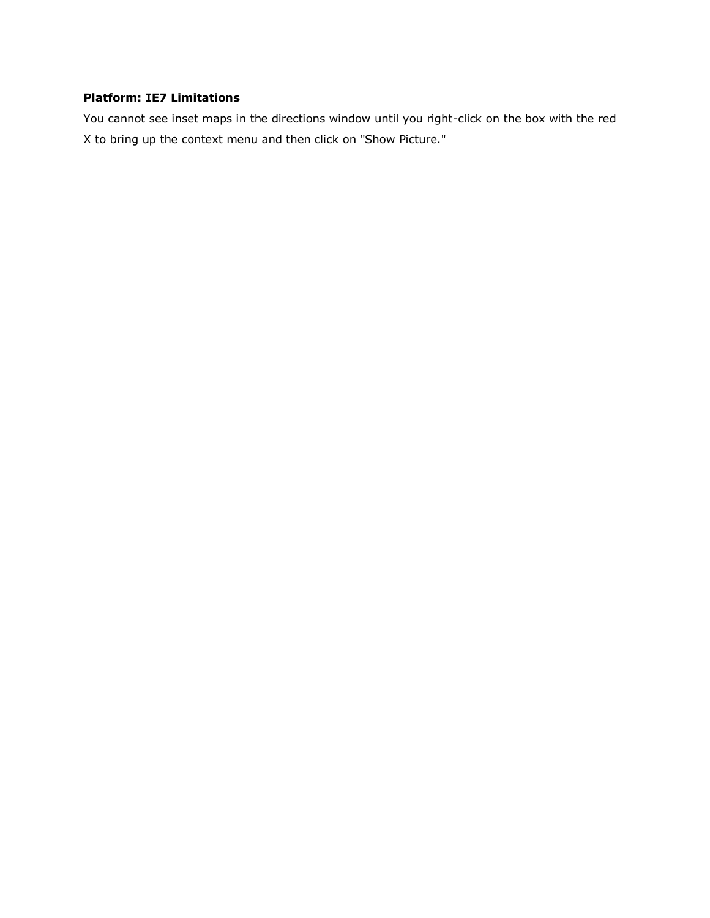# **Platform: IE7 Limitations**

You cannot see inset maps in the directions window until you right-click on the box with the red X to bring up the context menu and then click on "Show Picture."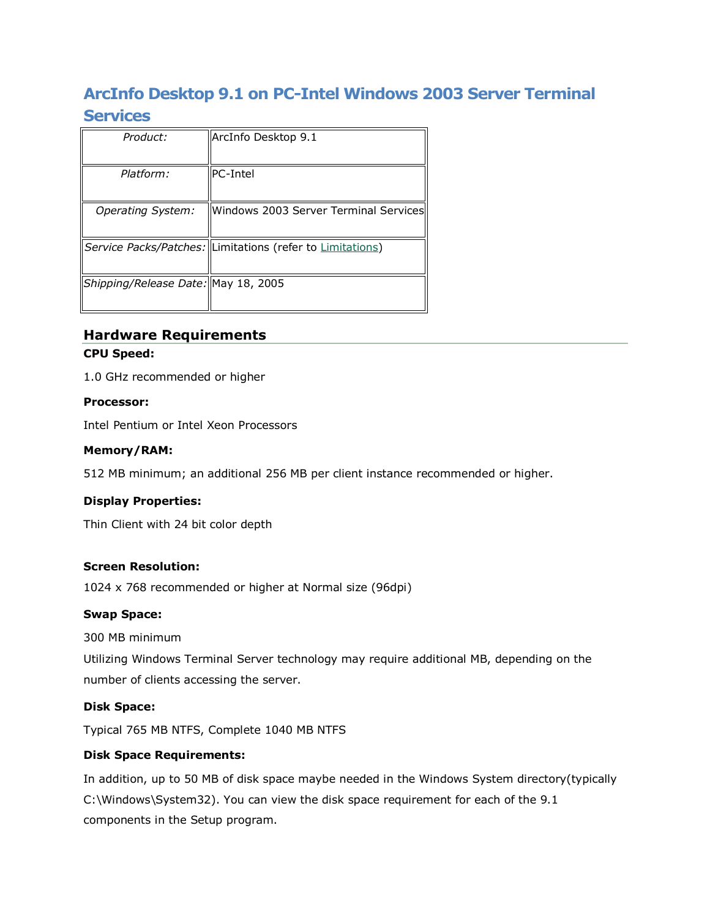# **ArcInfo Desktop 9.1 on PC-Intel Windows 2003 Server Terminal Services**

| Product:                             | ArcInfo Desktop 9.1                                       |
|--------------------------------------|-----------------------------------------------------------|
| Platform:                            | <b>PC-Intel</b>                                           |
| Operating System:                    | Windows 2003 Server Terminal Services                     |
|                                      | Service Packs/Patches: Limitations (refer to Limitations) |
| Shipping/Release Date:  May 18, 2005 |                                                           |

### **Hardware Requirements CPU Speed:**

1.0 GHz recommended or higher

#### **Processor:**

Intel Pentium or Intel Xeon Processors

#### **Memory/RAM:**

512 MB minimum; an additional 256 MB per client instance recommended or higher.

#### **Display Properties:**

Thin Client with 24 bit color depth

#### **Screen Resolution:**

1024 x 768 recommended or higher at Normal size (96dpi)

#### **Swap Space:**

300 MB minimum

Utilizing Windows Terminal Server technology may require additional MB, depending on the number of clients accessing the server.

#### **Disk Space:**

Typical 765 MB NTFS, Complete 1040 MB NTFS

#### **Disk Space Requirements:**

In addition, up to 50 MB of disk space maybe needed in the Windows System directory(typically C:\Windows\System32). You can view the disk space requirement for each of the 9.1 components in the Setup program.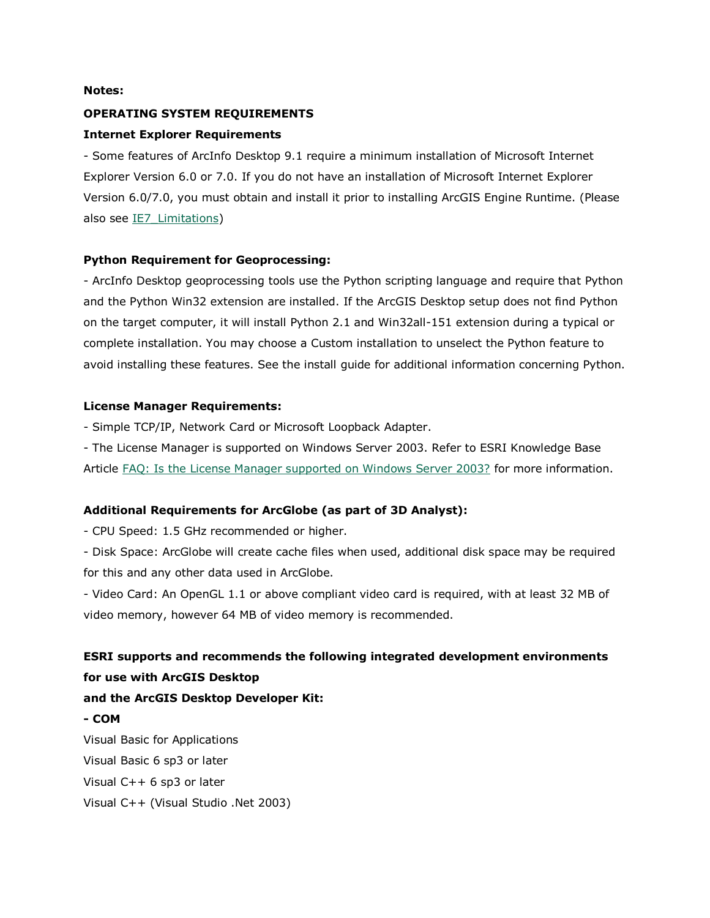#### **Notes:**

#### **OPERATING SYSTEM REQUIREMENTS**

#### **Internet Explorer Requirements**

- Some features of ArcInfo Desktop 9.1 require a minimum installation of Microsoft Internet Explorer Version 6.0 or 7.0. If you do not have an installation of Microsoft Internet Explorer Version 6.0/7.0, you must obtain and install it prior to installing ArcGIS Engine Runtime. (Please also see [IE7\\_Limitations\)](http://support.esri.com/index.cfm?fa=knowledgebase.systemRequirements.list&PN=ArcInfo+Desktop&pName=ArcInfo+Desktop&PVName=&PID=43&count=1&pvid=259&VID=991#IE7_Limitations)

#### **Python Requirement for Geoprocessing:**

- ArcInfo Desktop geoprocessing tools use the Python scripting language and require that Python and the Python Win32 extension are installed. If the ArcGIS Desktop setup does not find Python on the target computer, it will install Python 2.1 and Win32all-151 extension during a typical or complete installation. You may choose a Custom installation to unselect the Python feature to avoid installing these features. See the install guide for additional information concerning Python.

#### **License Manager Requirements:**

- Simple TCP/IP, Network Card or Microsoft Loopback Adapter.

- The License Manager is supported on Windows Server 2003. Refer to ESRI Knowledge Base Article [FAQ: Is the License Manager supported on Windows Server 2003?](http://support.esri.com/index.cfm?fa=knowledgebase.techArticles.articleShow&d=26429) for more information.

#### **Additional Requirements for ArcGlobe (as part of 3D Analyst):**

- CPU Speed: 1.5 GHz recommended or higher.

- Disk Space: ArcGlobe will create cache files when used, additional disk space may be required for this and any other data used in ArcGlobe.

- Video Card: An OpenGL 1.1 or above compliant video card is required, with at least 32 MB of video memory, however 64 MB of video memory is recommended.

# **ESRI supports and recommends the following integrated development environments for use with ArcGIS Desktop**

#### **and the ArcGIS Desktop Developer Kit:**

**- COM**

Visual Basic for Applications Visual Basic 6 sp3 or later Visual C++ 6 sp3 or later Visual C++ (Visual Studio .Net 2003)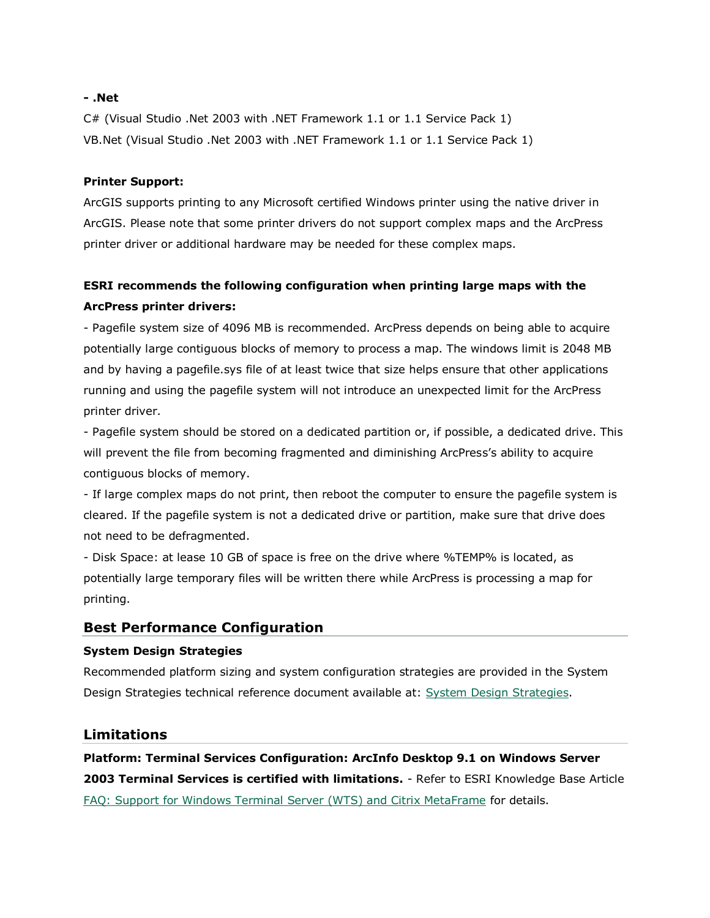#### **- .Net**

C# (Visual Studio .Net 2003 with .NET Framework 1.1 or 1.1 Service Pack 1) VB.Net (Visual Studio .Net 2003 with .NET Framework 1.1 or 1.1 Service Pack 1)

#### **Printer Support:**

ArcGIS supports printing to any Microsoft certified Windows printer using the native driver in ArcGIS. Please note that some printer drivers do not support complex maps and the ArcPress printer driver or additional hardware may be needed for these complex maps.

# **ESRI recommends the following configuration when printing large maps with the ArcPress printer drivers:**

- Pagefile system size of 4096 MB is recommended. ArcPress depends on being able to acquire potentially large contiguous blocks of memory to process a map. The windows limit is 2048 MB and by having a pagefile.sys file of at least twice that size helps ensure that other applications running and using the pagefile system will not introduce an unexpected limit for the ArcPress printer driver.

- Pagefile system should be stored on a dedicated partition or, if possible, a dedicated drive. This will prevent the file from becoming fragmented and diminishing ArcPress's ability to acquire contiguous blocks of memory.

- If large complex maps do not print, then reboot the computer to ensure the pagefile system is cleared. If the pagefile system is not a dedicated drive or partition, make sure that drive does not need to be defragmented.

- Disk Space: at lease 10 GB of space is free on the drive where %TEMP% is located, as potentially large temporary files will be written there while ArcPress is processing a map for printing.

# **Best Performance Configuration**

#### **System Design Strategies**

Recommended platform sizing and system configuration strategies are provided in the System Design Strategies technical reference document available at: [System Design Strategies.](http://www.esri.com/library/whitepapers/pdfs/sysdesig.pdf)

#### **Limitations**

**Platform: Terminal Services Configuration: ArcInfo Desktop 9.1 on Windows Server 2003 Terminal Services is certified with limitations.** - Refer to ESRI Knowledge Base Article [FAQ: Support for Windows Terminal Server \(WTS\) and Citrix MetaFrame](http://support.esri.com/index.cfm?fa=knowledgebase.whitepapers.viewPaper&PID=25&MetaID=389) for details.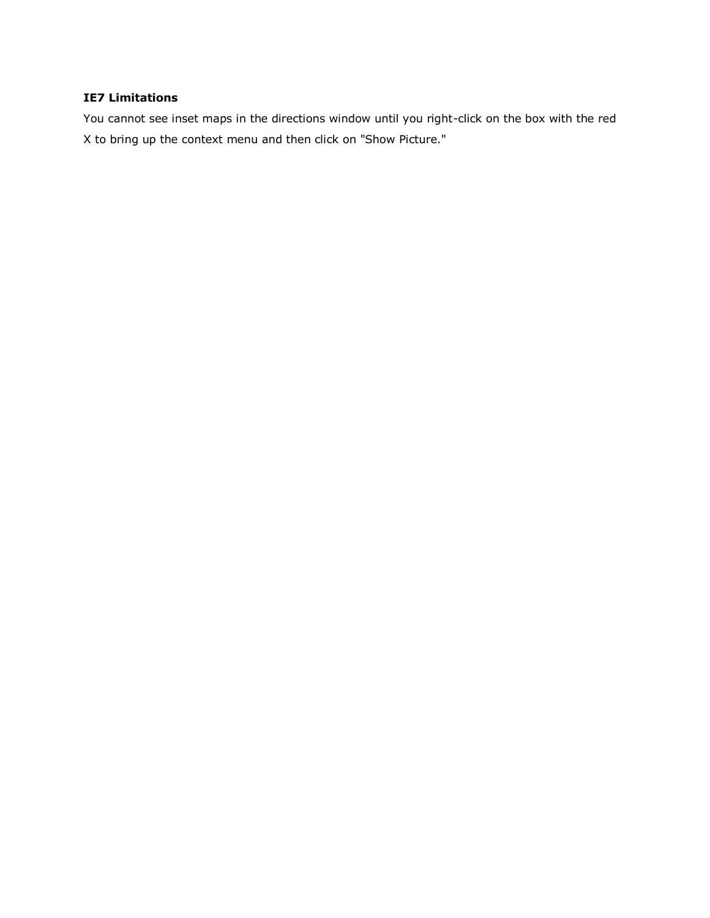#### **IE7 Limitations**

You cannot see inset maps in the directions window until you right-click on the box with the red X to bring up the context menu and then click on "Show Picture."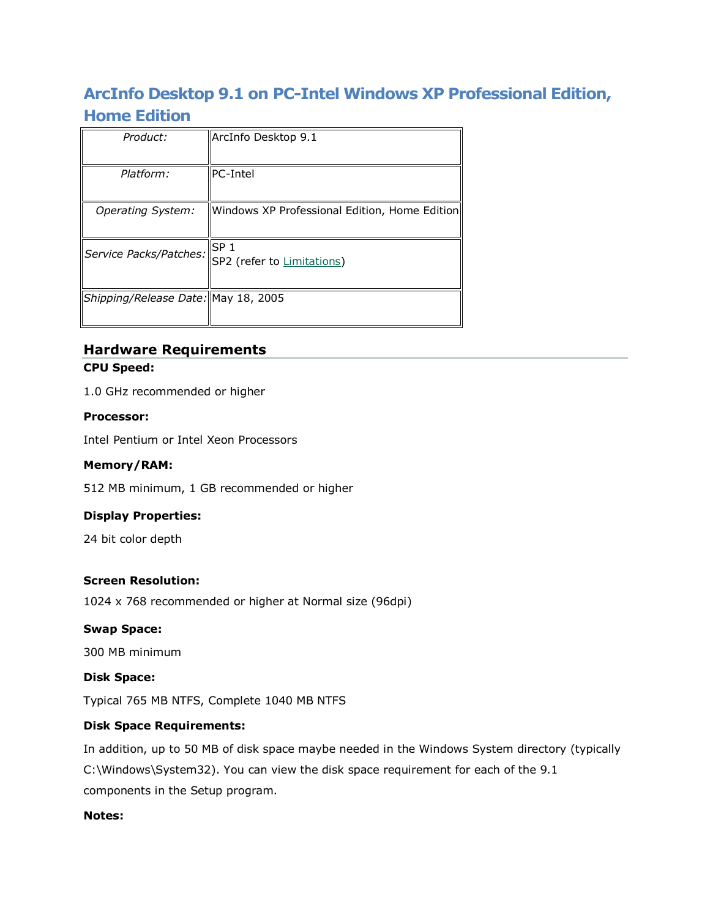# **ArcInfo Desktop 9.1 on PC-Intel Windows XP Professional Edition, Home Edition**

| Product:                            | ArcInfo Desktop 9.1                           |
|-------------------------------------|-----------------------------------------------|
| Platform:                           | <b>PC-Intel</b>                               |
| Operating System:                   | Windows XP Professional Edition, Home Edition |
| Service Packs/Patches:              | SP <sub>1</sub><br>SP2 (refer to Limitations) |
| Shipping/Release Date: May 18, 2005 |                                               |

# **Hardware Requirements**

**CPU Speed:**

1.0 GHz recommended or higher

#### **Processor:**

Intel Pentium or Intel Xeon Processors

#### **Memory/RAM:**

512 MB minimum, 1 GB recommended or higher

#### **Display Properties:**

24 bit color depth

#### **Screen Resolution:**

1024 x 768 recommended or higher at Normal size (96dpi)

#### **Swap Space:**

300 MB minimum

#### **Disk Space:**

Typical 765 MB NTFS, Complete 1040 MB NTFS

#### **Disk Space Requirements:**

In addition, up to 50 MB of disk space maybe needed in the Windows System directory (typically C:\Windows\System32). You can view the disk space requirement for each of the 9.1 components in the Setup program.

#### **Notes:**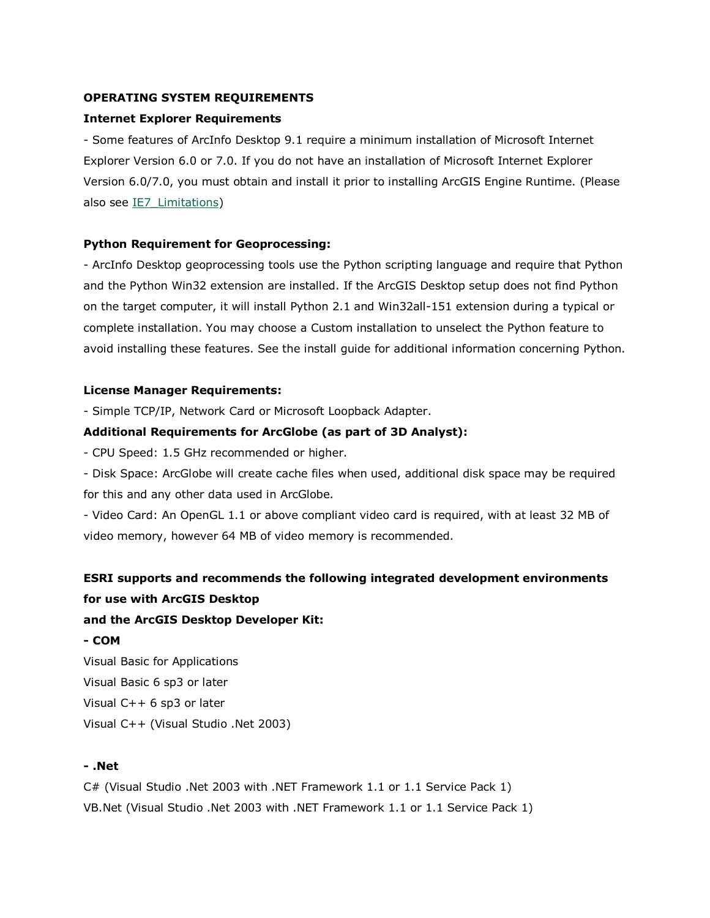#### **OPERATING SYSTEM REQUIREMENTS**

#### **Internet Explorer Requirements**

- Some features of ArcInfo Desktop 9.1 require a minimum installation of Microsoft Internet Explorer Version 6.0 or 7.0. If you do not have an installation of Microsoft Internet Explorer Version 6.0/7.0, you must obtain and install it prior to installing ArcGIS Engine Runtime. (Please also see IE7 Limitations)

#### **Python Requirement for Geoprocessing:**

- ArcInfo Desktop geoprocessing tools use the Python scripting language and require that Python and the Python Win32 extension are installed. If the ArcGIS Desktop setup does not find Python on the target computer, it will install Python 2.1 and Win32all-151 extension during a typical or complete installation. You may choose a Custom installation to unselect the Python feature to avoid installing these features. See the install guide for additional information concerning Python.

#### **License Manager Requirements:**

- Simple TCP/IP, Network Card or Microsoft Loopback Adapter.

#### **Additional Requirements for ArcGlobe (as part of 3D Analyst):**

- CPU Speed: 1.5 GHz recommended or higher.

- Disk Space: ArcGlobe will create cache files when used, additional disk space may be required for this and any other data used in ArcGlobe.

- Video Card: An OpenGL 1.1 or above compliant video card is required, with at least 32 MB of video memory, however 64 MB of video memory is recommended.

# **ESRI supports and recommends the following integrated development environments for use with ArcGIS Desktop**

#### **and the ArcGIS Desktop Developer Kit:**

#### **- COM**

Visual Basic for Applications Visual Basic 6 sp3 or later Visual C++ 6 sp3 or later Visual C++ (Visual Studio .Net 2003)

#### **- .Net**

C# (Visual Studio .Net 2003 with .NET Framework 1.1 or 1.1 Service Pack 1) VB.Net (Visual Studio .Net 2003 with .NET Framework 1.1 or 1.1 Service Pack 1)